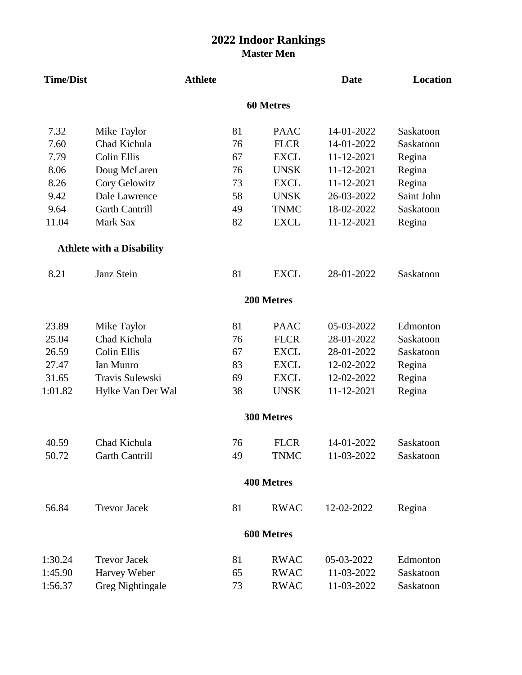## **2022 Indoor Rankings Master Men**

| <b>Time/Dist</b> |                                  | <b>Athlete</b> |    |                   | <b>Date</b> | Location   |
|------------------|----------------------------------|----------------|----|-------------------|-------------|------------|
|                  |                                  |                |    | <b>60 Metres</b>  |             |            |
| 7.32             | Mike Taylor                      |                | 81 | <b>PAAC</b>       | 14-01-2022  | Saskatoon  |
| 7.60             | Chad Kichula                     |                | 76 | <b>FLCR</b>       | 14-01-2022  | Saskatoon  |
| 7.79             | Colin Ellis                      |                | 67 | <b>EXCL</b>       | 11-12-2021  | Regina     |
| 8.06             | Doug McLaren                     |                | 76 | <b>UNSK</b>       | 11-12-2021  | Regina     |
| 8.26             | Cory Gelowitz                    |                | 73 | <b>EXCL</b>       | 11-12-2021  | Regina     |
| 9.42             | Dale Lawrence                    |                | 58 | <b>UNSK</b>       | 26-03-2022  | Saint John |
| 9.64             | <b>Garth Cantrill</b>            |                | 49 | <b>TNMC</b>       | 18-02-2022  | Saskatoon  |
| 11.04            | Mark Sax                         |                | 82 | <b>EXCL</b>       | 11-12-2021  | Regina     |
|                  | <b>Athlete with a Disability</b> |                |    |                   |             |            |
| 8.21             | Janz Stein                       |                | 81 | <b>EXCL</b>       | 28-01-2022  | Saskatoon  |
|                  |                                  |                |    | 200 Metres        |             |            |
| 23.89            | Mike Taylor                      |                | 81 | <b>PAAC</b>       | 05-03-2022  | Edmonton   |
| 25.04            | Chad Kichula                     |                | 76 | <b>FLCR</b>       | 28-01-2022  | Saskatoon  |
| 26.59            | Colin Ellis                      |                | 67 | <b>EXCL</b>       | 28-01-2022  | Saskatoon  |
| 27.47            | Ian Munro                        |                | 83 | <b>EXCL</b>       | 12-02-2022  | Regina     |
| 31.65            | Travis Sulewski                  |                | 69 | <b>EXCL</b>       | 12-02-2022  | Regina     |
| 1:01.82          | Hylke Van Der Wal                |                | 38 | <b>UNSK</b>       | 11-12-2021  | Regina     |
|                  |                                  |                |    | 300 Metres        |             |            |
| 40.59            | Chad Kichula                     |                | 76 | <b>FLCR</b>       | 14-01-2022  | Saskatoon  |
| 50.72            | <b>Garth Cantrill</b>            |                | 49 | <b>TNMC</b>       | 11-03-2022  | Saskatoon  |
|                  |                                  |                |    | <b>400 Metres</b> |             |            |
| 56.84            | <b>Trevor Jacek</b>              |                | 81 | <b>RWAC</b>       | 12-02-2022  | Regina     |
|                  |                                  |                |    | 600 Metres        |             |            |
| 1:30.24          | <b>Trevor Jacek</b>              |                | 81 | <b>RWAC</b>       | 05-03-2022  | Edmonton   |
| 1:45.90          | Harvey Weber                     |                | 65 | <b>RWAC</b>       | 11-03-2022  | Saskatoon  |
| 1:56.37          | <b>Greg Nightingale</b>          |                | 73 | <b>RWAC</b>       | 11-03-2022  | Saskatoon  |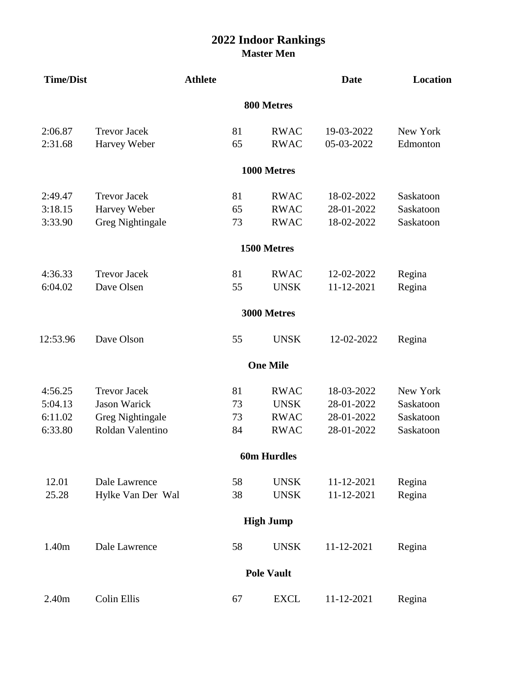## **2022 Indoor Rankings Master Men**

| <b>Time/Dist</b> |                         | <b>Athlete</b> |                    | <b>Date</b> | Location  |
|------------------|-------------------------|----------------|--------------------|-------------|-----------|
|                  |                         |                | 800 Metres         |             |           |
| 2:06.87          | <b>Trevor Jacek</b>     | 81             | <b>RWAC</b>        | 19-03-2022  | New York  |
| 2:31.68          | Harvey Weber            | 65             | <b>RWAC</b>        | 05-03-2022  | Edmonton  |
|                  |                         |                | 1000 Metres        |             |           |
| 2:49.47          | <b>Trevor Jacek</b>     | 81             | <b>RWAC</b>        | 18-02-2022  | Saskatoon |
| 3:18.15          | Harvey Weber            | 65             | <b>RWAC</b>        | 28-01-2022  | Saskatoon |
| 3:33.90          | <b>Greg Nightingale</b> | 73             | <b>RWAC</b>        | 18-02-2022  | Saskatoon |
|                  |                         |                | 1500 Metres        |             |           |
| 4:36.33          | <b>Trevor Jacek</b>     | 81             | <b>RWAC</b>        | 12-02-2022  | Regina    |
| 6:04.02          | Dave Olsen              | 55             | <b>UNSK</b>        | 11-12-2021  | Regina    |
|                  |                         |                | 3000 Metres        |             |           |
| 12:53.96         | Dave Olson              | 55             | <b>UNSK</b>        | 12-02-2022  | Regina    |
|                  |                         |                | <b>One Mile</b>    |             |           |
| 4:56.25          | <b>Trevor Jacek</b>     | 81             | <b>RWAC</b>        | 18-03-2022  | New York  |
| 5:04.13          | <b>Jason Warick</b>     | 73             | <b>UNSK</b>        | 28-01-2022  | Saskatoon |
| 6:11.02          | <b>Greg Nightingale</b> | 73             | <b>RWAC</b>        | 28-01-2022  | Saskatoon |
| 6:33.80          | Roldan Valentino        | 84             | <b>RWAC</b>        | 28-01-2022  | Saskatoon |
|                  |                         |                | <b>60m Hurdles</b> |             |           |
| 12.01            | Dale Lawrence           | 58             | <b>UNSK</b>        | 11-12-2021  | Regina    |
| 25.28            | Hylke Van Der Wal       | 38             | <b>UNSK</b>        | 11-12-2021  | Regina    |
|                  |                         |                | <b>High Jump</b>   |             |           |
| 1.40m            | Dale Lawrence           | 58             | <b>UNSK</b>        | 11-12-2021  | Regina    |
|                  |                         |                | <b>Pole Vault</b>  |             |           |
| 2.40m            | Colin Ellis             | 67             | <b>EXCL</b>        | 11-12-2021  | Regina    |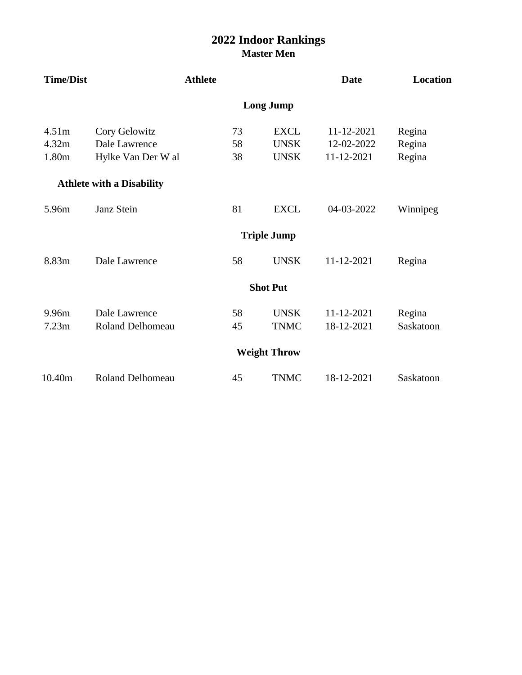## **Master Men 2022 Indoor Rankings**

| <b>Time/Dist</b> |                                  | <b>Athlete</b> |    |                     | <b>Date</b> | Location  |
|------------------|----------------------------------|----------------|----|---------------------|-------------|-----------|
|                  |                                  |                |    | <b>Long Jump</b>    |             |           |
| 4.51m            | Cory Gelowitz                    |                | 73 | <b>EXCL</b>         | 11-12-2021  | Regina    |
| 4.32m            | Dale Lawrence                    |                | 58 | <b>UNSK</b>         | 12-02-2022  | Regina    |
| 1.80m            | Hylke Van Der W al               |                | 38 | <b>UNSK</b>         | 11-12-2021  | Regina    |
|                  | <b>Athlete with a Disability</b> |                |    |                     |             |           |
| 5.96m            | Janz Stein                       |                | 81 | <b>EXCL</b>         | 04-03-2022  | Winnipeg  |
|                  |                                  |                |    | <b>Triple Jump</b>  |             |           |
| 8.83m            | Dale Lawrence                    |                | 58 | <b>UNSK</b>         | 11-12-2021  | Regina    |
|                  |                                  |                |    | <b>Shot Put</b>     |             |           |
| 9.96m            | Dale Lawrence                    |                | 58 | <b>UNSK</b>         | 11-12-2021  | Regina    |
| 7.23m            | <b>Roland Delhomeau</b>          |                | 45 | <b>TNMC</b>         | 18-12-2021  | Saskatoon |
|                  |                                  |                |    | <b>Weight Throw</b> |             |           |
| 10.40m           | <b>Roland Delhomeau</b>          |                | 45 | <b>TNMC</b>         | 18-12-2021  | Saskatoon |